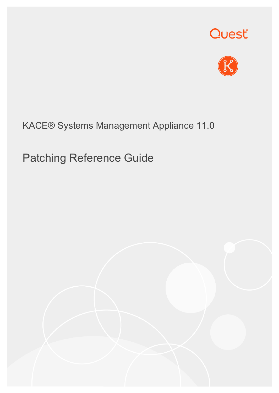



### KACE® Systems Management Appliance 11.0

# Patching Reference Guide

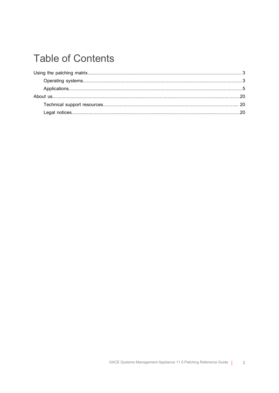### **Table of Contents**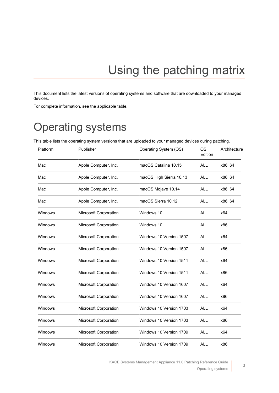# Using the patching matrix

<span id="page-2-0"></span>This document lists the latest versions of operating systems and software that are downloaded to your managed devices.

For complete information, see the applicable table.

## <span id="page-2-1"></span>Operating systems

This table lists the operating system versions that are uploaded to your managed devices during patching.

| Platform | Publisher             | Operating System (OS)   | <b>OS</b><br>Edition | Architecture |
|----------|-----------------------|-------------------------|----------------------|--------------|
| Mac      | Apple Computer, Inc.  | macOS Catalina 10.15    | <b>ALL</b>           | x86_64       |
| Mac      | Apple Computer, Inc.  | macOS High Sierra 10.13 | <b>ALL</b>           | x86 64       |
| Mac      | Apple Computer, Inc.  | macOS Mojave 10.14      | <b>ALL</b>           | x86_64       |
| Mac      | Apple Computer, Inc.  | macOS Sierra 10.12      | <b>ALL</b>           | x86_64       |
| Windows  | Microsoft Corporation | Windows 10              | <b>ALL</b>           | x64          |
| Windows  | Microsoft Corporation | Windows 10              | <b>ALL</b>           | x86          |
| Windows  | Microsoft Corporation | Windows 10 Version 1507 | <b>ALL</b>           | x64          |
| Windows  | Microsoft Corporation | Windows 10 Version 1507 | <b>ALL</b>           | x86          |
| Windows  | Microsoft Corporation | Windows 10 Version 1511 | <b>ALL</b>           | x64          |
| Windows  | Microsoft Corporation | Windows 10 Version 1511 | <b>ALL</b>           | x86          |
| Windows  | Microsoft Corporation | Windows 10 Version 1607 | <b>ALL</b>           | x64          |
| Windows  | Microsoft Corporation | Windows 10 Version 1607 | <b>ALL</b>           | x86          |
| Windows  | Microsoft Corporation | Windows 10 Version 1703 | <b>ALL</b>           | x64          |
| Windows  | Microsoft Corporation | Windows 10 Version 1703 | <b>ALL</b>           | x86          |
| Windows  | Microsoft Corporation | Windows 10 Version 1709 | <b>ALL</b>           | x64          |
| Windows  | Microsoft Corporation | Windows 10 Version 1709 | <b>ALL</b>           | x86          |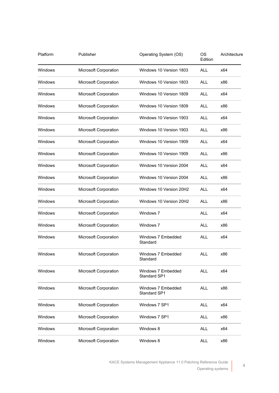| Platform       | Publisher             | Operating System (OS)              | OS<br>Edition | Architecture |
|----------------|-----------------------|------------------------------------|---------------|--------------|
| Windows        | Microsoft Corporation | Windows 10 Version 1803            | <b>ALL</b>    | x64          |
| Windows        | Microsoft Corporation | Windows 10 Version 1803            | <b>ALL</b>    | x86          |
| Windows        | Microsoft Corporation | Windows 10 Version 1809            | ALL           | x64          |
| Windows        | Microsoft Corporation | Windows 10 Version 1809            | <b>ALL</b>    | x86          |
| Windows        | Microsoft Corporation | Windows 10 Version 1903            | <b>ALL</b>    | x64          |
| Windows        | Microsoft Corporation | Windows 10 Version 1903            | <b>ALL</b>    | x86          |
| <b>Windows</b> | Microsoft Corporation | Windows 10 Version 1909            | <b>ALL</b>    | x64          |
| Windows        | Microsoft Corporation | Windows 10 Version 1909            | <b>ALL</b>    | x86          |
| Windows        | Microsoft Corporation | Windows 10 Version 2004            | <b>ALL</b>    | x64          |
| Windows        | Microsoft Corporation | Windows 10 Version 2004            | <b>ALL</b>    | x86          |
| Windows        | Microsoft Corporation | Windows 10 Version 20H2            | <b>ALL</b>    | x64          |
| Windows        | Microsoft Corporation | Windows 10 Version 20H2            | <b>ALL</b>    | x86          |
| Windows        | Microsoft Corporation | Windows 7                          | <b>ALL</b>    | x64          |
| Windows        | Microsoft Corporation | Windows 7                          | <b>ALL</b>    | x86          |
| Windows        | Microsoft Corporation | Windows 7 Embedded<br>Standard     | <b>ALL</b>    | x64          |
| Windows        | Microsoft Corporation | Windows 7 Embedded<br>Standard     | <b>ALL</b>    | x86          |
| Windows        | Microsoft Corporation | Windows 7 Embedded<br>Standard SP1 | <b>ALL</b>    | x64          |
| <b>Windows</b> | Microsoft Corporation | Windows 7 Embedded<br>Standard SP1 | <b>ALL</b>    | x86          |
| Windows        | Microsoft Corporation | Windows 7 SP1                      | <b>ALL</b>    | x64          |
| <b>Windows</b> | Microsoft Corporation | Windows 7 SP1                      | <b>ALL</b>    | x86          |
| <b>Windows</b> | Microsoft Corporation | Windows 8                          | <b>ALL</b>    | x64          |
| Windows        | Microsoft Corporation | Windows 8                          | <b>ALL</b>    | x86          |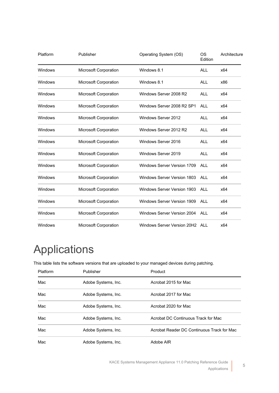| Platform | Publisher             | Operating System (OS)              | OS<br>Edition | Architecture |
|----------|-----------------------|------------------------------------|---------------|--------------|
| Windows  | Microsoft Corporation | Windows 8.1                        | <b>ALL</b>    | x64          |
| Windows  | Microsoft Corporation | Windows 8.1                        | <b>ALL</b>    | x86          |
| Windows  | Microsoft Corporation | Windows Server 2008 R2             | <b>ALL</b>    | x64          |
| Windows  | Microsoft Corporation | Windows Server 2008 R2 SP1         | <b>ALL</b>    | x64          |
| Windows  | Microsoft Corporation | Windows Server 2012                | <b>ALL</b>    | x64          |
| Windows  | Microsoft Corporation | Windows Server 2012 R2             | <b>ALL</b>    | x64          |
| Windows  | Microsoft Corporation | Windows Server 2016                | <b>ALL</b>    | x64          |
| Windows  | Microsoft Corporation | Windows Server 2019                | ALL           | x64          |
| Windows  | Microsoft Corporation | Windows Server Version 1709        | ALL           | x64          |
| Windows  | Microsoft Corporation | <b>Windows Server Version 1803</b> | <b>ALL</b>    | x64          |
| Windows  | Microsoft Corporation | <b>Windows Server Version 1903</b> | <b>ALL</b>    | x64          |
| Windows  | Microsoft Corporation | Windows Server Version 1909        | <b>ALL</b>    | x64          |
| Windows  | Microsoft Corporation | Windows Server Version 2004        | ALL           | x64          |
| Windows  | Microsoft Corporation | Windows Server Version 20H2 ALL    |               | x64          |

# <span id="page-4-0"></span>Applications

This table lists the software versions that are uploaded to your managed devices during patching.

| Platform | Publisher           | Product                                    |
|----------|---------------------|--------------------------------------------|
| Mac      | Adobe Systems, Inc. | Acrobat 2015 for Mac                       |
| Mac      | Adobe Systems, Inc. | Acrobat 2017 for Mac                       |
| Mac      | Adobe Systems, Inc. | Acrobat 2020 for Mac                       |
| Mac      | Adobe Systems, Inc. | Acrobat DC Continuous Track for Mac        |
| Mac      | Adobe Systems, Inc. | Acrobat Reader DC Continuous Track for Mac |
| Mac      | Adobe Systems, Inc. | Adobe AIR                                  |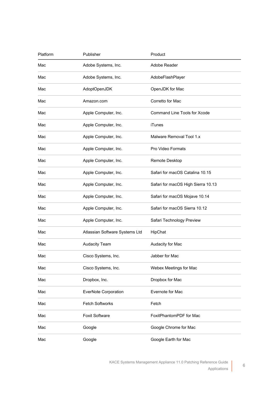| Platform | Publisher                      | Product                            |
|----------|--------------------------------|------------------------------------|
| Mac      | Adobe Systems, Inc.            | Adobe Reader                       |
| Mac      | Adobe Systems, Inc.            | AdobeFlashPlayer                   |
| Mac      | AdoptOpenJDK                   | OpenJDK for Mac                    |
| Mac      | Amazon.com                     | Corretto for Mac                   |
| Mac      | Apple Computer, Inc.           | Command Line Tools for Xcode       |
| Mac      | Apple Computer, Inc.           | iTunes                             |
| Mac      | Apple Computer, Inc.           | Malware Removal Tool 1.x           |
| Mac      | Apple Computer, Inc.           | Pro Video Formats                  |
| Mac      | Apple Computer, Inc.           | Remote Desktop                     |
| Mac      | Apple Computer, Inc.           | Safari for macOS Catalina 10.15    |
| Mac      | Apple Computer, Inc.           | Safari for macOS High Sierra 10.13 |
| Mac      | Apple Computer, Inc.           | Safari for macOS Mojave 10.14      |
| Mac      | Apple Computer, Inc.           | Safari for macOS Sierra 10.12      |
| Mac      | Apple Computer, Inc.           | Safari Technology Preview          |
| Mac      | Atlassian Software Systems Ltd | HipChat                            |
| Mac      | <b>Audacity Team</b>           | Audacity for Mac                   |
| Mac      | Cisco Systems, Inc.            | Jabber for Mac                     |
| Mac      | Cisco Systems, Inc.            | Webex Meetings for Mac             |
| Mac      | Dropbox, Inc.                  | Dropbox for Mac                    |
| Mac      | <b>EverNote Corporation</b>    | Evernote for Mac                   |
| Mac      | <b>Fetch Softworks</b>         | Fetch                              |
| Mac      | Foxit Software                 | FoxitPhantomPDF for Mac            |
| Mac      | Google                         | Google Chrome for Mac              |
| Mac      | Google                         | Google Earth for Mac               |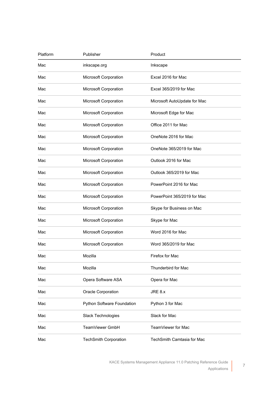| Platform | Publisher                    | Product                      |
|----------|------------------------------|------------------------------|
| Mac      | inkscape.org                 | Inkscape                     |
| Mac      | <b>Microsoft Corporation</b> | Excel 2016 for Mac           |
| Mac      | Microsoft Corporation        | Excel 365/2019 for Mac       |
| Mac      | Microsoft Corporation        | Microsoft AutoUpdate for Mac |
| Mac      | Microsoft Corporation        | Microsoft Edge for Mac       |
| Mac      | Microsoft Corporation        | Office 2011 for Mac          |
| Mac      | Microsoft Corporation        | OneNote 2016 for Mac         |
| Mac      | Microsoft Corporation        | OneNote 365/2019 for Mac     |
| Mac      | Microsoft Corporation        | Outlook 2016 for Mac         |
| Mac      | Microsoft Corporation        | Outlook 365/2019 for Mac     |
| Mac      | Microsoft Corporation        | PowerPoint 2016 for Mac      |
| Mac      | Microsoft Corporation        | PowerPoint 365/2019 for Mac  |
| Mac      | Microsoft Corporation        | Skype for Business on Mac    |
| Mac      | Microsoft Corporation        | Skype for Mac                |
| Mac      | Microsoft Corporation        | Word 2016 for Mac            |
| Mac      | Microsoft Corporation        | Word 365/2019 for Mac        |
| Mac      | Mozilla                      | Firefox for Mac              |
| Mac      | Mozilla                      | Thunderbird for Mac          |
| Mac      | Opera Software ASA           | Opera for Mac                |
| Mac      | Oracle Corporation           | JRE 8.x                      |
| Mac      | Python Software Foundation   | Python 3 for Mac             |
| Mac      | Slack Technologies           | Slack for Mac                |
| Mac      | TeamViewer GmbH              | TeamViewer for Mac           |
| Mac      | <b>TechSmith Corporation</b> | TechSmith Camtasia for Mac   |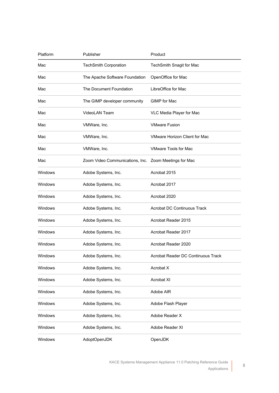| Platform       | Publisher                                             | Product                              |
|----------------|-------------------------------------------------------|--------------------------------------|
| Mac            | <b>TechSmith Corporation</b>                          | TechSmith Snagit for Mac             |
| Mac            | The Apache Software Foundation                        | OpenOffice for Mac                   |
| Mac            | The Document Foundation                               | LibreOffice for Mac                  |
| Mac            | The GIMP developer community                          | GIMP for Mac                         |
| Mac            | <b>VideoLAN Team</b>                                  | VLC Media Player for Mac             |
| Mac            | VMWare, Inc.                                          | <b>VMware Fusion</b>                 |
| Mac            | VMWare, Inc.                                          | <b>VMware Horizon Client for Mac</b> |
| Mac            | VMWare, Inc.                                          | <b>VMware Tools for Mac</b>          |
| Mac            | Zoom Video Communications, Inc. Zoom Meetings for Mac |                                      |
| Windows        | Adobe Systems, Inc.                                   | Acrobat 2015                         |
| Windows        | Adobe Systems, Inc.                                   | Acrobat 2017                         |
| <b>Windows</b> | Adobe Systems, Inc.                                   | Acrobat 2020                         |
| <b>Windows</b> | Adobe Systems, Inc.                                   | <b>Acrobat DC Continuous Track</b>   |
| <b>Windows</b> | Adobe Systems, Inc.                                   | Acrobat Reader 2015                  |
| Windows        | Adobe Systems, Inc.                                   | Acrobat Reader 2017                  |
| Windows        | Adobe Systems, Inc.                                   | Acrobat Reader 2020                  |
| Windows        | Adobe Systems, Inc.                                   | Acrobat Reader DC Continuous Track   |
| Windows        | Adobe Systems, Inc.                                   | Acrobat X                            |
| Windows        | Adobe Systems, Inc.                                   | Acrobat XI                           |
| Windows        | Adobe Systems, Inc.                                   | Adobe AIR                            |
| Windows        | Adobe Systems, Inc.                                   | Adobe Flash Player                   |
| Windows        | Adobe Systems, Inc.                                   | Adobe Reader X                       |
| Windows        | Adobe Systems, Inc.                                   | Adobe Reader XI                      |
| Windows        | AdoptOpenJDK                                          | OpenJDK                              |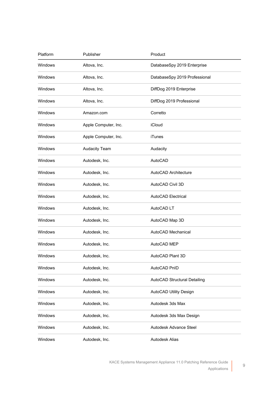| Platform | Publisher            | Product                       |
|----------|----------------------|-------------------------------|
| Windows  | Altova, Inc.         | DatabaseSpy 2019 Enterprise   |
| Windows  | Altova, Inc.         | DatabaseSpy 2019 Professional |
| Windows  | Altova, Inc.         | DiffDog 2019 Enterprise       |
| Windows  | Altova, Inc.         | DiffDog 2019 Professional     |
| Windows  | Amazon.com           | Corretto                      |
| Windows  | Apple Computer, Inc. | iCloud                        |
| Windows  | Apple Computer, Inc. | <b>iTunes</b>                 |
| Windows  | <b>Audacity Team</b> | Audacity                      |
| Windows  | Autodesk, Inc.       | AutoCAD                       |
| Windows  | Autodesk, Inc.       | AutoCAD Architecture          |
| Windows  | Autodesk, Inc.       | AutoCAD Civil 3D              |
| Windows  | Autodesk, Inc.       | <b>AutoCAD Electrical</b>     |
| Windows  | Autodesk, Inc.       | AutoCAD LT                    |
| Windows  | Autodesk, Inc.       | AutoCAD Map 3D                |
| Windows  | Autodesk, Inc.       | AutoCAD Mechanical            |
| Windows  | Autodesk, Inc.       | AutoCAD MEP                   |
| Windows  | Autodesk, Inc.       | AutoCAD Plant 3D              |
| Windows  | Autodesk, Inc.       | AutoCAD PnID                  |
| Windows  | Autodesk, Inc.       | AutoCAD Structural Detailing  |
| Windows  | Autodesk, Inc.       | AutoCAD Utility Design        |
| Windows  | Autodesk, Inc.       | Autodesk 3ds Max              |
| Windows  | Autodesk, Inc.       | Autodesk 3ds Max Design       |
| Windows  | Autodesk, Inc.       | Autodesk Advance Steel        |
| Windows  | Autodesk, Inc.       | Autodesk Alias                |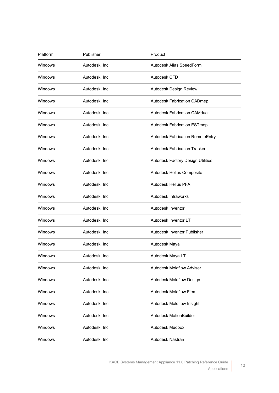| Platform | Publisher      | Product                                 |
|----------|----------------|-----------------------------------------|
| Windows  | Autodesk, Inc. | Autodesk Alias SpeedForm                |
| Windows  | Autodesk, Inc. | Autodesk CFD                            |
| Windows  | Autodesk, Inc. | Autodesk Design Review                  |
| Windows  | Autodesk, Inc. | <b>Autodesk Fabrication CADmep</b>      |
| Windows  | Autodesk, Inc. | <b>Autodesk Fabrication CAMduct</b>     |
| Windows  | Autodesk, Inc. | <b>Autodesk Fabrication ESTmep</b>      |
| Windows  | Autodesk, Inc. | <b>Autodesk Fabrication RemoteEntry</b> |
| Windows  | Autodesk, Inc. | <b>Autodesk Fabrication Tracker</b>     |
| Windows  | Autodesk, Inc. | Autodesk Factory Design Utilities       |
| Windows  | Autodesk, Inc. | Autodesk Helius Composite               |
| Windows  | Autodesk, Inc. | Autodesk Helius PFA                     |
| Windows  | Autodesk, Inc. | Autodesk Infraworks                     |
| Windows  | Autodesk, Inc. | Autodesk Inventor                       |
| Windows  | Autodesk, Inc. | Autodesk Inventor LT                    |
| Windows  | Autodesk, Inc. | Autodesk Inventor Publisher             |
| Windows  | Autodesk, Inc. | Autodesk Maya                           |
| Windows  | Autodesk, Inc. | Autodesk Maya LT                        |
| Windows  | Autodesk, Inc. | <b>Autodesk Moldflow Adviser</b>        |
| Windows  | Autodesk, Inc. | Autodesk Moldflow Design                |
| Windows  | Autodesk, Inc. | <b>Autodesk Moldflow Flex</b>           |
| Windows  | Autodesk, Inc. | Autodesk Moldflow Insight               |
| Windows  | Autodesk, Inc. | Autodesk MotionBuilder                  |
| Windows  | Autodesk, Inc. | Autodesk Mudbox                         |
| Windows  | Autodesk, Inc. | Autodesk Nastran                        |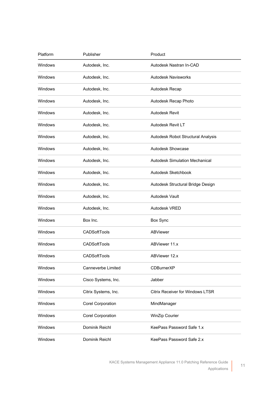| Platform | Publisher            | Product                                 |
|----------|----------------------|-----------------------------------------|
| Windows  | Autodesk, Inc.       | Autodesk Nastran In-CAD                 |
| Windows  | Autodesk, Inc.       | <b>Autodesk Navisworks</b>              |
| Windows  | Autodesk, Inc.       | Autodesk Recap                          |
| Windows  | Autodesk, Inc.       | Autodesk Recap Photo                    |
| Windows  | Autodesk, Inc.       | Autodesk Revit                          |
| Windows  | Autodesk, Inc.       | Autodesk Revit LT                       |
| Windows  | Autodesk, Inc.       | Autodesk Robot Structural Analysis      |
| Windows  | Autodesk, Inc.       | Autodesk Showcase                       |
| Windows  | Autodesk, Inc.       | <b>Autodesk Simulation Mechanical</b>   |
| Windows  | Autodesk, Inc.       | Autodesk Sketchbook                     |
| Windows  | Autodesk, Inc.       | Autodesk Structural Bridge Design       |
| Windows  | Autodesk, Inc.       | Autodesk Vault                          |
| Windows  | Autodesk, Inc.       | Autodesk VRED                           |
| Windows  | Box Inc.             | Box Sync                                |
| Windows  | <b>CADSoftTools</b>  | <b>ABViewer</b>                         |
| Windows  | <b>CADSoftTools</b>  | ABViewer 11.x                           |
| Windows  | <b>CADSoftTools</b>  | ABViewer 12.x                           |
| Windows  | Canneverbe Limited   | <b>CDBurnerXP</b>                       |
| Windows  | Cisco Systems, Inc.  | Jabber                                  |
| Windows  | Citrix Systems, Inc. | <b>Citrix Receiver for Windows LTSR</b> |
| Windows  | Corel Corporation    | MindManager                             |
| Windows  | Corel Corporation    | WinZip Courier                          |
| Windows  | Dominik Reichl       | KeePass Password Safe 1.x               |
| Windows  | Dominik Reichl       | KeePass Password Safe 2.x               |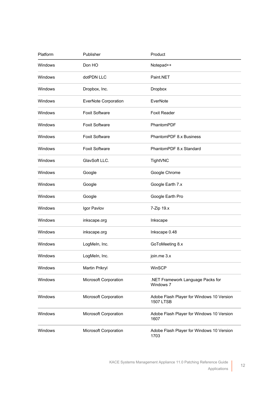| Platform | Publisher             | Product                                                       |
|----------|-----------------------|---------------------------------------------------------------|
| Windows  | Don HO                | Notepad++                                                     |
| Windows  | dotPDN LLC            | Paint.NET                                                     |
| Windows  | Dropbox, Inc.         | Dropbox                                                       |
| Windows  | EverNote Corporation  | EverNote                                                      |
| Windows  | <b>Foxit Software</b> | <b>Foxit Reader</b>                                           |
| Windows  | <b>Foxit Software</b> | PhantomPDF                                                    |
| Windows  | <b>Foxit Software</b> | PhantomPDF 8.x Business                                       |
| Windows  | <b>Foxit Software</b> | PhantomPDF 8.x Standard                                       |
| Windows  | GlavSoft LLC.         | TightVNC                                                      |
| Windows  | Google                | Google Chrome                                                 |
| Windows  | Google                | Google Earth 7.x                                              |
| Windows  | Google                | Google Earth Pro                                              |
| Windows  | Igor Pavlov           | 7-Zip 19.x                                                    |
| Windows  | inkscape.org          | Inkscape                                                      |
| Windows  | inkscape.org          | Inkscape 0.48                                                 |
| Windows  | LogMeIn, Inc.         | GoToMeeting 8.x                                               |
| Windows  | LogMeln, Inc.         | join.me 3.x                                                   |
| Windows  | Martin Prikryl        | WinSCP                                                        |
| Windows  | Microsoft Corporation | .NET Framework Language Packs for<br>Windows 7                |
| Windows  | Microsoft Corporation | Adobe Flash Player for Windows 10 Version<br><b>1507 LTSB</b> |
| Windows  | Microsoft Corporation | Adobe Flash Player for Windows 10 Version<br>1607             |
| Windows  | Microsoft Corporation | Adobe Flash Player for Windows 10 Version<br>1703             |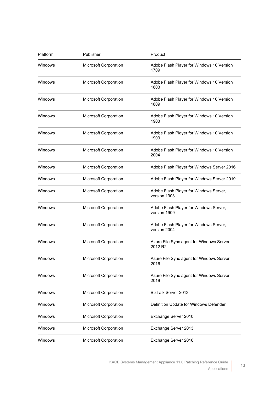| Platform | Publisher             | Product                                                         |
|----------|-----------------------|-----------------------------------------------------------------|
| Windows  | Microsoft Corporation | Adobe Flash Player for Windows 10 Version<br>1709               |
| Windows  | Microsoft Corporation | Adobe Flash Player for Windows 10 Version<br>1803               |
| Windows  | Microsoft Corporation | Adobe Flash Player for Windows 10 Version<br>1809               |
| Windows  | Microsoft Corporation | Adobe Flash Player for Windows 10 Version<br>1903               |
| Windows  | Microsoft Corporation | Adobe Flash Player for Windows 10 Version<br>1909               |
| Windows  | Microsoft Corporation | Adobe Flash Player for Windows 10 Version<br>2004               |
| Windows  | Microsoft Corporation | Adobe Flash Player for Windows Server 2016                      |
| Windows  | Microsoft Corporation | Adobe Flash Player for Windows Server 2019                      |
| Windows  | Microsoft Corporation | Adobe Flash Player for Windows Server,<br>version 1903          |
| Windows  | Microsoft Corporation | Adobe Flash Player for Windows Server,<br>version 1909          |
| Windows  | Microsoft Corporation | Adobe Flash Player for Windows Server,<br>version 2004          |
| Windows  | Microsoft Corporation | Azure File Sync agent for Windows Server<br>2012 R <sub>2</sub> |
| Windows  | Microsoft Corporation | Azure File Sync agent for Windows Server<br>2016                |
| Windows  | Microsoft Corporation | Azure File Sync agent for Windows Server<br>2019                |
| Windows  | Microsoft Corporation | BizTalk Server 2013                                             |
| Windows  | Microsoft Corporation | Definition Update for Windows Defender                          |
| Windows  | Microsoft Corporation | Exchange Server 2010                                            |
| Windows  | Microsoft Corporation | Exchange Server 2013                                            |
| Windows  | Microsoft Corporation | Exchange Server 2016                                            |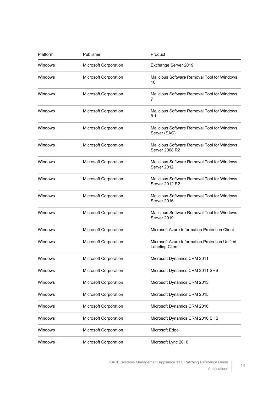| Platform       | Publisher             | Product                                                                  |
|----------------|-----------------------|--------------------------------------------------------------------------|
| Windows        | Microsoft Corporation | Exchange Server 2019                                                     |
| Windows        | Microsoft Corporation | Malicious Software Removal Tool for Windows<br>10                        |
| Windows        | Microsoft Corporation | Malicious Software Removal Tool for Windows<br>7                         |
| Windows        | Microsoft Corporation | Malicious Software Removal Tool for Windows<br>8.1                       |
| Windows        | Microsoft Corporation | Malicious Software Removal Tool for Windows<br>Server (SAC)              |
| Windows        | Microsoft Corporation | Malicious Software Removal Tool for Windows<br>Server 2008 R2            |
| Windows        | Microsoft Corporation | Malicious Software Removal Tool for Windows<br>Server 2012               |
| Windows        | Microsoft Corporation | Malicious Software Removal Tool for Windows<br>Server 2012 R2            |
| Windows        | Microsoft Corporation | Malicious Software Removal Tool for Windows<br>Server 2016               |
| Windows        | Microsoft Corporation | Malicious Software Removal Tool for Windows<br>Server 2019               |
| Windows        | Microsoft Corporation | Microsoft Azure Information Protection Client                            |
| Windows        | Microsoft Corporation | Microsoft Azure Information Protection Unified<br><b>Labeling Client</b> |
| Windows        | Microsoft Corporation | Microsoft Dynamics CRM 2011                                              |
| Windows        | Microsoft Corporation | Microsoft Dynamics CRM 2011 SHS                                          |
| Windows        | Microsoft Corporation | Microsoft Dynamics CRM 2013                                              |
| Windows        | Microsoft Corporation | Microsoft Dynamics CRM 2015                                              |
| <b>Windows</b> | Microsoft Corporation | Microsoft Dynamics CRM 2016                                              |
| <b>Windows</b> | Microsoft Corporation | Microsoft Dynamics CRM 2016 SHS                                          |
| Windows        | Microsoft Corporation | Microsoft Edge                                                           |
| Windows        | Microsoft Corporation | Microsoft Lync 2010                                                      |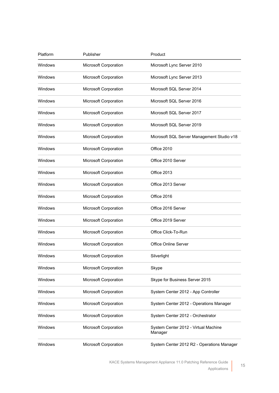| Platform | Publisher             | Product                                         |
|----------|-----------------------|-------------------------------------------------|
| Windows  | Microsoft Corporation | Microsoft Lync Server 2010                      |
| Windows  | Microsoft Corporation | Microsoft Lync Server 2013                      |
| Windows  | Microsoft Corporation | Microsoft SQL Server 2014                       |
| Windows  | Microsoft Corporation | Microsoft SQL Server 2016                       |
| Windows  | Microsoft Corporation | Microsoft SQL Server 2017                       |
| Windows  | Microsoft Corporation | Microsoft SQL Server 2019                       |
| Windows  | Microsoft Corporation | Microsoft SQL Server Management Studio v18      |
| Windows  | Microsoft Corporation | Office 2010                                     |
| Windows  | Microsoft Corporation | Office 2010 Server                              |
| Windows  | Microsoft Corporation | Office 2013                                     |
| Windows  | Microsoft Corporation | Office 2013 Server                              |
| Windows  | Microsoft Corporation | Office 2016                                     |
| Windows  | Microsoft Corporation | Office 2016 Server                              |
| Windows  | Microsoft Corporation | Office 2019 Server                              |
| Windows  | Microsoft Corporation | Office Click-To-Run                             |
| Windows  | Microsoft Corporation | <b>Office Online Server</b>                     |
| Windows  | Microsoft Corporation | Silverlight                                     |
| Windows  | Microsoft Corporation | Skype                                           |
| Windows  | Microsoft Corporation | Skype for Business Server 2015                  |
| Windows  | Microsoft Corporation | System Center 2012 - App Controller             |
| Windows  | Microsoft Corporation | System Center 2012 - Operations Manager         |
| Windows  | Microsoft Corporation | System Center 2012 - Orchestrator               |
| Windows  | Microsoft Corporation | System Center 2012 - Virtual Machine<br>Manager |
| Windows  | Microsoft Corporation | System Center 2012 R2 - Operations Manager      |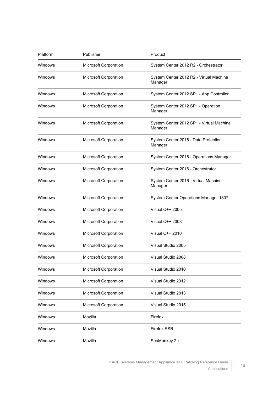| Platform | Publisher             | Product                                             |
|----------|-----------------------|-----------------------------------------------------|
| Windows  | Microsoft Corporation | System Center 2012 R2 - Orchestrator                |
| Windows  | Microsoft Corporation | System Center 2012 R2 - Virtual Machine<br>Manager  |
| Windows  | Microsoft Corporation | System Center 2012 SP1 - App Controller             |
| Windows  | Microsoft Corporation | System Center 2012 SP1 - Operation<br>Manager       |
| Windows  | Microsoft Corporation | System Center 2012 SP1 - Virtual Machine<br>Manager |
| Windows  | Microsoft Corporation | System Center 2016 - Data Protection<br>Manager     |
| Windows  | Microsoft Corporation | System Center 2016 - Operations Manager             |
| Windows  | Microsoft Corporation | System Center 2016 - Orchestrator                   |
| Windows  | Microsoft Corporation | System Center 2016 - Virtual Machine<br>Manager     |
| Windows  | Microsoft Corporation | System Center Operations Manager 1807               |
| Windows  | Microsoft Corporation | Visual C++ 2005                                     |
| Windows  | Microsoft Corporation | Visual C++ 2008                                     |
| Windows  | Microsoft Corporation | Visual C++ 2010                                     |
| Windows  | Microsoft Corporation | Visual Studio 2005                                  |
| Windows  | Microsoft Corporation | Visual Studio 2008                                  |
| Windows  | Microsoft Corporation | Visual Studio 2010                                  |
| Windows  | Microsoft Corporation | Visual Studio 2012                                  |
| Windows  | Microsoft Corporation | Visual Studio 2013                                  |
| Windows  | Microsoft Corporation | Visual Studio 2015                                  |
| Windows  | Mozilla               | Firefox                                             |
| Windows  | Mozilla               | <b>Firefox ESR</b>                                  |
| Windows  | Mozilla               | SeaMonkey 2.x                                       |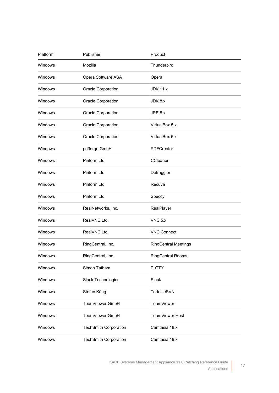| Platform       | Publisher                    | Product                     |  |
|----------------|------------------------------|-----------------------------|--|
| Windows        | Mozilla                      | Thunderbird                 |  |
| Windows        | Opera Software ASA           | Opera                       |  |
| Windows        | Oracle Corporation           | <b>JDK 11.x</b>             |  |
| <b>Windows</b> | Oracle Corporation           | JDK 8.x                     |  |
| Windows        | Oracle Corporation           | JRE 8.x                     |  |
| Windows        | Oracle Corporation           | VirtualBox 5.x              |  |
| Windows        | Oracle Corporation           | VirtualBox 6.x              |  |
| Windows        | pdfforge GmbH                | PDFCreator                  |  |
| Windows        | Piriform Ltd                 | CCleaner                    |  |
| Windows        | Piriform Ltd                 | Defraggler                  |  |
| Windows        | Piriform Ltd                 | Recuva                      |  |
| <b>Windows</b> | Piriform Ltd                 | Speccy                      |  |
| Windows        | RealNetworks, Inc.           | RealPlayer                  |  |
| Windows        | RealVNC Ltd.                 | $VNC$ 5. $x$                |  |
| <b>Windows</b> | RealVNC Ltd.                 | <b>VNC Connect</b>          |  |
| <b>Windows</b> | RingCentral, Inc.            | <b>RingCentral Meetings</b> |  |
| Windows        | RingCentral, Inc.            | <b>RingCentral Rooms</b>    |  |
| Windows        | Simon Tatham                 | PuTTY                       |  |
| Windows        | <b>Slack Technologies</b>    | Slack                       |  |
| Windows        | Stefan Küng                  | TortoiseSVN                 |  |
| Windows        | TeamViewer GmbH              | <b>TeamViewer</b>           |  |
| Windows        | TeamViewer GmbH              | TeamViewer Host             |  |
| Windows        | <b>TechSmith Corporation</b> | Camtasia 18.x               |  |
| Windows        | <b>TechSmith Corporation</b> | Camtasia 19.x               |  |

17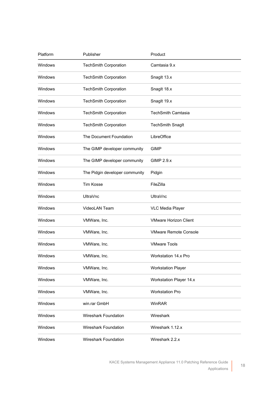| Platform | Publisher                      | Product                        |
|----------|--------------------------------|--------------------------------|
| Windows  | <b>TechSmith Corporation</b>   | Camtasia 9.x                   |
| Windows  | <b>TechSmith Corporation</b>   | Snaglt 13.x                    |
| Windows  | <b>TechSmith Corporation</b>   | Snaglt 18.x                    |
| Windows  | <b>TechSmith Corporation</b>   | Snaglt 19.x                    |
| Windows  | <b>TechSmith Corporation</b>   | <b>TechSmith Camtasia</b>      |
| Windows  | <b>TechSmith Corporation</b>   | <b>TechSmith Snaglt</b>        |
| Windows  | The Document Foundation        | LibreOffice                    |
| Windows  | The GIMP developer community   | GIMP                           |
| Windows  | The GIMP developer community   | <b>GIMP 2.9.x</b>              |
| Windows  | The Pidgin developer community | Pidgin                         |
| Windows  | <b>Tim Kosse</b>               | FileZilla                      |
| Windows  | <b>UltraVnc</b>                | <b>UltraVnc</b>                |
| Windows  | VideoLAN Team                  | <b>VLC Media Player</b>        |
| Windows  | VMWare, Inc.                   | <b>VMware Horizon Client</b>   |
| Windows  | VMWare, Inc.                   | <b>VMware Remote Console</b>   |
| Windows  | VMWare, Inc.                   | <b>VMware Tools</b>            |
| Windows  | VMWare, Inc.                   | Workstation 14.x Pro           |
| Windows  | VMWare, Inc.                   | <b>Workstation Player</b>      |
| Windows  | VMWare, Inc.                   | <b>Workstation Player 14.x</b> |
| Windows  | VMWare, Inc.                   | <b>Workstation Pro</b>         |
| Windows  | win.rar GmbH                   | WinRAR                         |
| Windows  | Wireshark Foundation           | Wireshark                      |
| Windows  | Wireshark Foundation           | Wireshark 1.12.x               |
| Windows  | Wireshark Foundation           | Wireshark 2.2.x                |

18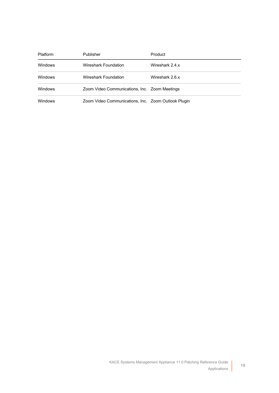| Platform | Publisher                                           | Product         |  |
|----------|-----------------------------------------------------|-----------------|--|
| Windows  | Wireshark Foundation                                | Wireshark 2.4.x |  |
| Windows  | Wireshark Foundation                                | Wireshark 2.6.x |  |
| Windows  | Zoom Video Communications, Inc. Zoom Meetings       |                 |  |
| Windows  | Zoom Video Communications, Inc. Zoom Outlook Plugin |                 |  |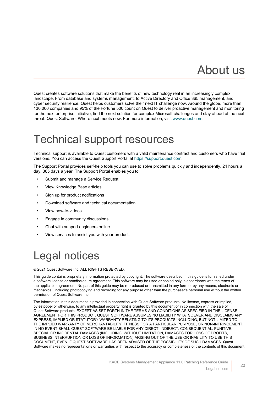## About us

<span id="page-19-0"></span>Quest creates software solutions that make the benefits of new technology real in an increasingly complex IT landscape. From database and systems management, to Active Directory and Office 365 management, and cyber security resilience, Quest helps customers solve their next IT challenge now. Around the globe, more than 130,000 companies and 95% of the Fortune 500 count on Quest to deliver proactive management and monitoring for the next enterprise initiative, find the next solution for complex Microsoft challenges and stay ahead of the next threat. Quest Software. Where next meets now. For more information, visit [www.quest.com.](https://www.quest.com/company/contact-us.aspx)

#### <span id="page-19-1"></span>Technical support resources

Technical support is available to Quest customers with a valid maintenance contract and customers who have trial versions. You can access the Quest Support Portal at [https://support.quest.com.](https://support.quest.com/)

The Support Portal provides self-help tools you can use to solve problems quickly and independently, 24 hours a day, 365 days a year. The Support Portal enables you to:

- Submit and manage a Service Request
- View Knowledge Base articles
- Sign up for product notifications
- Download software and technical documentation
- View how-to-videos
- Engage in community discussions
- Chat with support engineers online
- View services to assist you with your product.

## <span id="page-19-2"></span>Legal notices

#### © 2021 Quest Software Inc. ALL RIGHTS RESERVED.

This guide contains proprietary information protected by copyright. The software described in this guide is furnished under a software license or nondisclosure agreement. This software may be used or copied only in accordance with the terms of the applicable agreement. No part of this guide may be reproduced or transmitted in any form or by any means, electronic or mechanical, including photocopying and recording for any purpose other than the purchaser's personal use without the written permission of Quest Software Inc.

The information in this document is provided in connection with Quest Software products. No license, express or implied, by estoppel or otherwise, to any intellectual property right is granted by this document or in connection with the sale of Quest Software products. EXCEPT AS SET FORTH IN THE TERMS AND CONDITIONS AS SPECIFIED IN THE LICENSE AGREEMENT FOR THIS PRODUCT, QUEST SOFTWARE ASSUMES NO LIABILITY WHATSOEVER AND DISCLAIMS ANY EXPRESS, IMPLIED OR STATUTORY WARRANTY RELATING TO ITS PRODUCTS INCLUDING, BUT NOT LIMITED TO, THE IMPLIED WARRANTY OF MERCHANTABILITY, FITNESS FOR A PARTICULAR PURPOSE, OR NON-INFRINGEMENT. IN NO EVENT SHALL QUEST SOFTWARE BE LIABLE FOR ANY DIRECT, INDIRECT, CONSEQUENTIAL, PUNITIVE, SPECIAL OR INCIDENTAL DAMAGES (INCLUDING, WITHOUT LIMITATION, DAMAGES FOR LOSS OF PROFITS, BUSINESS INTERRUPTION OR LOSS OF INFORMATION) ARISING OUT OF THE USE OR INABILITY TO USE THIS DOCUMENT, EVEN IF QUEST SOFTWARE HAS BEEN ADVISED OF THE POSSIBILITY OF SUCH DAMAGES. Quest Software makes no representations or warranties with respect to the accuracy or completeness of the contents of this document